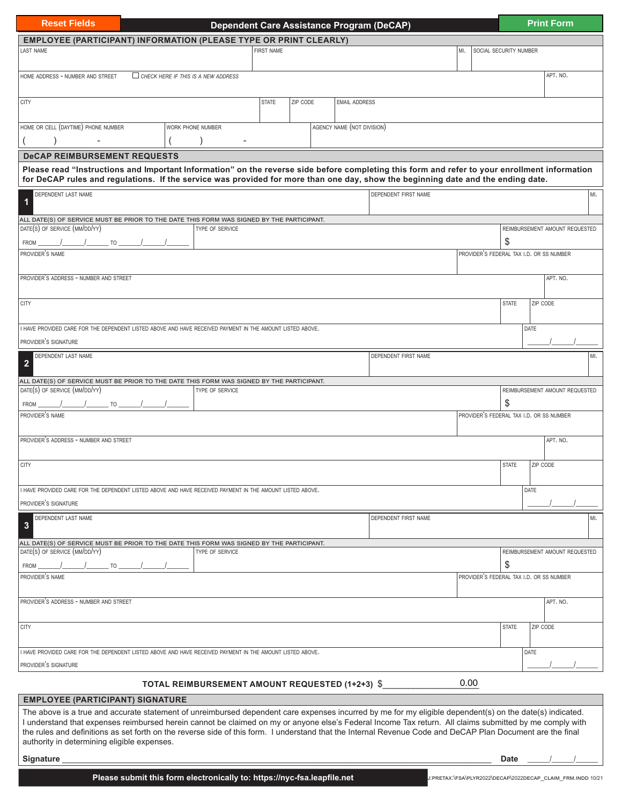| <b>Reset Fields</b>                                                                                                                                                                                                                                                                                                                                                                                                                                                               |  |                                                 | <b>Dependent Care Assistance Program (DeCAP)</b> |                   |                            |                      |      |                               |                                          | <b>Print Form</b> |                                |
|-----------------------------------------------------------------------------------------------------------------------------------------------------------------------------------------------------------------------------------------------------------------------------------------------------------------------------------------------------------------------------------------------------------------------------------------------------------------------------------|--|-------------------------------------------------|--------------------------------------------------|-------------------|----------------------------|----------------------|------|-------------------------------|------------------------------------------|-------------------|--------------------------------|
| <b>EMPLOYEE (PARTICIPANT) INFORMATION (PLEASE TYPE OR PRINT CLEARLY)</b>                                                                                                                                                                                                                                                                                                                                                                                                          |  |                                                 |                                                  |                   |                            |                      |      |                               |                                          |                   |                                |
| <b>LAST NAME</b>                                                                                                                                                                                                                                                                                                                                                                                                                                                                  |  |                                                 |                                                  | <b>FIRST NAME</b> |                            |                      |      | MI.<br>SOCIAL SECURITY NUMBER |                                          |                   |                                |
| HOME ADDRESS - NUMBER AND STREET                                                                                                                                                                                                                                                                                                                                                                                                                                                  |  | $\Box$ CHECK HERE IF THIS IS A NEW ADDRESS      |                                                  |                   |                            |                      |      |                               |                                          | APT. NO.          |                                |
| <b>CITY</b>                                                                                                                                                                                                                                                                                                                                                                                                                                                                       |  |                                                 | <b>STATE</b>                                     | ZIP CODE          | <b>EMAIL ADDRESS</b>       |                      |      |                               |                                          |                   |                                |
| HOME OR CELL (DAYTIME) PHONE NUMBER                                                                                                                                                                                                                                                                                                                                                                                                                                               |  | WORK PHONE NUMBER                               |                                                  |                   | AGENCY NAME (NOT DIVISION) |                      |      |                               |                                          |                   |                                |
| <b>DeCAP REIMBURSEMENT REQUESTS</b>                                                                                                                                                                                                                                                                                                                                                                                                                                               |  |                                                 |                                                  |                   |                            |                      |      |                               |                                          |                   |                                |
| Please read "Instructions and Important Information" on the reverse side before completing this form and refer to your enrollment information<br>for DeCAP rules and regulations. If the service was provided for more than one day, show the beginning date and the ending date.                                                                                                                                                                                                 |  |                                                 |                                                  |                   |                            |                      |      |                               |                                          |                   |                                |
| DEPENDENT LAST NAME<br>$\mathbf 1$                                                                                                                                                                                                                                                                                                                                                                                                                                                |  |                                                 |                                                  |                   |                            | DEPENDENT FIRST NAME |      |                               |                                          |                   | MI.                            |
| ALL DATE(S) OF SERVICE MUST BE PRIOR TO THE DATE THIS FORM WAS SIGNED BY THE PARTICIPANT.                                                                                                                                                                                                                                                                                                                                                                                         |  |                                                 |                                                  |                   |                            |                      |      |                               |                                          |                   |                                |
| DATE(S) OF SERVICE (MM/DD/YY)<br><b>FROM</b><br>TO                                                                                                                                                                                                                                                                                                                                                                                                                                |  | TYPE OF SERVICE                                 |                                                  |                   |                            |                      |      |                               | \$                                       |                   | REIMBURSEMENT AMOUNT REQUESTED |
| PROVIDER'S NAME                                                                                                                                                                                                                                                                                                                                                                                                                                                                   |  |                                                 |                                                  |                   |                            |                      |      |                               | PROVIDER'S FEDERAL TAX I.D. OR SS NUMBER |                   |                                |
| PROVIDER'S ADDRESS - NUMBER AND STREET                                                                                                                                                                                                                                                                                                                                                                                                                                            |  |                                                 |                                                  |                   |                            |                      |      |                               |                                          | APT. NO.          |                                |
| <b>CITY</b>                                                                                                                                                                                                                                                                                                                                                                                                                                                                       |  |                                                 |                                                  |                   |                            |                      |      |                               | <b>STATE</b>                             | ZIP CODE          |                                |
| I HAVE PROVIDED CARE FOR THE DEPENDENT LISTED ABOVE AND HAVE RECEIVED PAYMENT IN THE AMOUNT LISTED ABOVE.                                                                                                                                                                                                                                                                                                                                                                         |  |                                                 |                                                  |                   |                            |                      |      |                               | DATE                                     |                   |                                |
| PROVIDER'S SIGNATURE                                                                                                                                                                                                                                                                                                                                                                                                                                                              |  |                                                 |                                                  |                   |                            |                      |      |                               |                                          |                   |                                |
| DEPENDENT LAST NAME                                                                                                                                                                                                                                                                                                                                                                                                                                                               |  |                                                 |                                                  |                   |                            | DEPENDENT FIRST NAME |      |                               |                                          |                   | MI.                            |
| $\overline{\mathbf{2}}$                                                                                                                                                                                                                                                                                                                                                                                                                                                           |  |                                                 |                                                  |                   |                            |                      |      |                               |                                          |                   |                                |
| ALL DATE(S) OF SERVICE MUST BE PRIOR TO THE DATE THIS FORM WAS SIGNED BY THE PARTICIPANT.<br>DATE(S) OF SERVICE (MM/DD/YY)                                                                                                                                                                                                                                                                                                                                                        |  | TYPE OF SERVICE                                 |                                                  |                   |                            |                      |      |                               |                                          |                   | REIMBURSEMENT AMOUNT REQUESTED |
| FROM<br><b>TO</b>                                                                                                                                                                                                                                                                                                                                                                                                                                                                 |  |                                                 |                                                  |                   |                            |                      |      |                               | \$                                       |                   |                                |
| PROVIDER'S NAME                                                                                                                                                                                                                                                                                                                                                                                                                                                                   |  |                                                 |                                                  |                   |                            |                      |      |                               | PROVIDER'S FEDERAL TAX I.D. OR SS NUMBER |                   |                                |
| PROVIDER'S ADDRESS - NUMBER AND STREET                                                                                                                                                                                                                                                                                                                                                                                                                                            |  |                                                 |                                                  |                   |                            |                      |      |                               |                                          | APT. NO.          |                                |
| <b>CITY</b>                                                                                                                                                                                                                                                                                                                                                                                                                                                                       |  |                                                 |                                                  |                   |                            |                      |      |                               | <b>STATE</b>                             | ZIP CODE          |                                |
| I HAVE PROVIDED CARE FOR THE DEPENDENT LISTED ABOVE AND HAVE RECEIVED PAYMENT IN THE AMOUNT LISTED ABOVE.                                                                                                                                                                                                                                                                                                                                                                         |  |                                                 |                                                  |                   |                            |                      |      |                               | DATE                                     |                   |                                |
| PROVIDER'S SIGNATURE                                                                                                                                                                                                                                                                                                                                                                                                                                                              |  |                                                 |                                                  |                   |                            |                      |      |                               |                                          |                   |                                |
| DEPENDENT LAST NAME<br>3                                                                                                                                                                                                                                                                                                                                                                                                                                                          |  |                                                 |                                                  |                   |                            | DEPENDENT FIRST NAME |      |                               |                                          |                   | MI.                            |
| ALL DATE(S) OF SERVICE MUST BE PRIOR TO THE DATE THIS FORM WAS SIGNED BY THE PARTICIPANT.                                                                                                                                                                                                                                                                                                                                                                                         |  |                                                 |                                                  |                   |                            |                      |      |                               |                                          |                   |                                |
| DATE(S) OF SERVICE (MM/DD/YY)                                                                                                                                                                                                                                                                                                                                                                                                                                                     |  | TYPE OF SERVICE                                 |                                                  |                   |                            |                      |      |                               |                                          |                   | REIMBURSEMENT AMOUNT REQUESTED |
| TO<br><b>FROM</b>                                                                                                                                                                                                                                                                                                                                                                                                                                                                 |  |                                                 |                                                  |                   |                            |                      | \$   |                               |                                          |                   |                                |
| PROVIDER'S NAME                                                                                                                                                                                                                                                                                                                                                                                                                                                                   |  |                                                 |                                                  |                   |                            |                      |      |                               | PROVIDER'S FEDERAL TAX I.D. OR SS NUMBER |                   |                                |
| PROVIDER'S ADDRESS - NUMBER AND STREET                                                                                                                                                                                                                                                                                                                                                                                                                                            |  |                                                 |                                                  |                   |                            |                      |      |                               |                                          | APT. NO.          |                                |
| CITY                                                                                                                                                                                                                                                                                                                                                                                                                                                                              |  |                                                 |                                                  |                   |                            |                      |      |                               | <b>STATE</b>                             | ZIP CODE          |                                |
| I HAVE PROVIDED CARE FOR THE DEPENDENT LISTED ABOVE AND HAVE RECEIVED PAYMENT IN THE AMOUNT LISTED ABOVE.                                                                                                                                                                                                                                                                                                                                                                         |  |                                                 |                                                  |                   |                            |                      |      |                               | DATE                                     |                   |                                |
| PROVIDER'S SIGNATURE                                                                                                                                                                                                                                                                                                                                                                                                                                                              |  |                                                 |                                                  |                   |                            |                      |      |                               |                                          |                   |                                |
|                                                                                                                                                                                                                                                                                                                                                                                                                                                                                   |  | TOTAL REIMBURSEMENT AMOUNT REQUESTED (1+2+3) \$ |                                                  |                   |                            |                      | 0.00 |                               |                                          |                   |                                |
| <b>EMPLOYEE (PARTICIPANT) SIGNATURE</b>                                                                                                                                                                                                                                                                                                                                                                                                                                           |  |                                                 |                                                  |                   |                            |                      |      |                               |                                          |                   |                                |
| The above is a true and accurate statement of unreimbursed dependent care expenses incurred by me for my eligible dependent(s) on the date(s) indicated.<br>I understand that expenses reimbursed herein cannot be claimed on my or anyone else's Federal Income Tax return. All claims submitted by me comply with<br>the rules and definitions as set forth on the reverse side of this form. I understand that the Internal Revenue Code and DeCAP Plan Document are the final |  |                                                 |                                                  |                   |                            |                      |      |                               |                                          |                   |                                |

**Signature** \_\_\_\_\_\_\_\_\_\_\_\_\_\_\_\_\_\_\_\_\_\_\_\_\_\_\_\_\_\_\_\_\_\_\_\_\_\_\_\_\_\_\_\_\_\_\_\_\_\_\_\_\_\_\_\_\_\_\_\_\_\_\_\_\_\_\_\_\_\_\_\_\_\_\_\_\_\_\_\_\_\_\_\_\_\_\_\_\_\_\_\_\_\_\_ **Date** \_\_\_\_\_\_/\_\_\_\_\_\_/\_\_\_\_\_\_

**Please submit this form electronically to: https://nyc-fsa.leapfile.net** *J.PRETAX:\FSA\PLYR2022\DECAP\2022DECAP\_CLAIM\_FRM.INDD 10/21* 

authority in determining eligible expenses.